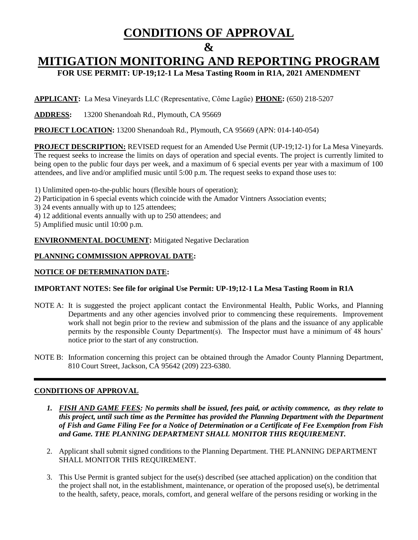# **CONDITIONS OF APPROVAL**

## **&**

# **MITIGATION MONITORING AND REPORTING PROGRAM**

**FOR USE PERMIT: UP-19;12-1 La Mesa Tasting Room in R1A, 2021 AMENDMENT**

**APPLICANT:** La Mesa Vineyards LLC (Representative, Côme Lagűe) **PHONE:** (650) 218-5207

**ADDRESS:** 13200 Shenandoah Rd., Plymouth, CA 95669

**PROJECT LOCATION:** 13200 Shenandoah Rd., Plymouth, CA 95669 (APN: 014-140-054)

**PROJECT DESCRIPTION:** REVISED request for an Amended Use Permit (UP-19;12-1) for La Mesa Vineyards. The request seeks to increase the limits on days of operation and special events. The project is currently limited to being open to the public four days per week, and a maximum of 6 special events per year with a maximum of 100 attendees, and live and/or amplified music until 5:00 p.m. The request seeks to expand those uses to:

- 1) Unlimited open-to-the-public hours (flexible hours of operation);
- 2) Participation in 6 special events which coincide with the Amador Vintners Association events;
- 3) 24 events annually with up to 125 attendees;
- 4) 12 additional events annually with up to 250 attendees; and

5) Amplified music until 10:00 p.m.

**ENVIRONMENTAL DOCUMENT:** Mitigated Negative Declaration

### **PLANNING COMMISSION APPROVAL DATE:**

### **NOTICE OF DETERMINATION DATE:**

### **IMPORTANT NOTES: See file for original Use Permit: UP-19;12-1 La Mesa Tasting Room in R1A**

- NOTE A: It is suggested the project applicant contact the Environmental Health, Public Works, and Planning Departments and any other agencies involved prior to commencing these requirements. Improvement work shall not begin prior to the review and submission of the plans and the issuance of any applicable permits by the responsible County Department(s). The Inspector must have a minimum of 48 hours' notice prior to the start of any construction.
- NOTE B: Information concerning this project can be obtained through the Amador County Planning Department, 810 Court Street, Jackson, CA 95642 (209) 223-6380.

### **CONDITIONS OF APPROVAL**

- *1. FISH AND GAME FEES: No permits shall be issued, fees paid, or activity commence, as they relate to this project, until such time as the Permittee has provided the Planning Department with the Department of Fish and Game Filing Fee for a Notice of Determination or a Certificate of Fee Exemption from Fish and Game. THE PLANNING DEPARTMENT SHALL MONITOR THIS REQUIREMENT.*
- 2. Applicant shall submit signed conditions to the Planning Department. THE PLANNING DEPARTMENT SHALL MONITOR THIS REQUIREMENT.
- 3. This Use Permit is granted subject for the use(s) described (see attached application) on the condition that the project shall not, in the establishment, maintenance, or operation of the proposed use(s), be detrimental to the health, safety, peace, morals, comfort, and general welfare of the persons residing or working in the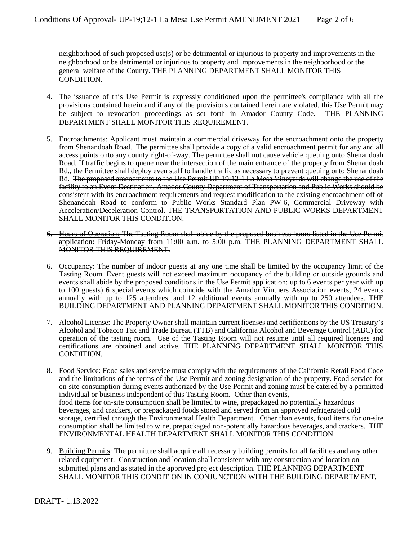neighborhood of such proposed use(s) or be detrimental or injurious to property and improvements in the neighborhood or be detrimental or injurious to property and improvements in the neighborhood or the general welfare of the County. THE PLANNING DEPARTMENT SHALL MONITOR THIS CONDITION.

- 4. The issuance of this Use Permit is expressly conditioned upon the permittee's compliance with all the provisions contained herein and if any of the provisions contained herein are violated, this Use Permit may be subject to revocation proceedings as set forth in Amador County Code. THE PLANNING DEPARTMENT SHALL MONITOR THIS REQUIREMENT.
- 5. Encroachments: Applicant must maintain a commercial driveway for the encroachment onto the property from Shenandoah Road. The permittee shall provide a copy of a valid encroachment permit for any and all access points onto any county right-of-way. The permittee shall not cause vehicle queuing onto Shenandoah Road. If traffic begins to queue near the intersection of the main entrance of the property from Shenandoah Rd., the Permittee shall deploy even staff to handle traffic as necessary to prevent queuing onto Shenandoah Rd. The proposed amendments to the Use Permit UP-19;12-1 La Mesa Vineyards will change the use of the facility to an Event Destination, Amador County Department of Transportation and Public Works should be consistent with its encroachment requirements and request modification to the existing encroachment off of Shenandoah Road to conform to Public Works Standard Plan PW-6, Commercial Driveway with Acceleration/Deceleration Control. THE TRANSPORTATION AND PUBLIC WORKS DEPARTMENT SHALL MONITOR THIS CONDITION.
- 6. Hours of Operation: The Tasting Room shall abide by the proposed business hours listed in the Use Permit application: Friday-Monday from 11:00 a.m. to 5:00 p.m. THE PLANNING DEPARTMENT SHALL MONITOR THIS REQUIREMENT.
- 6. Occupancy: The number of indoor guests at any one time shall be limited by the occupancy limit of the Tasting Room. Event guests will not exceed maximum occupancy of the building or outside grounds and events shall abide by the proposed conditions in the Use Permit application: up to 6 events per year with up to 100 guests) 6 special events which coincide with the Amador Vintners Association events, 24 events annually with up to 125 attendees, and 12 additional events annually with up to 250 attendees. THE BUILDING DEPARTMENT AND PLANNING DEPARTMENT SHALL MONITOR THIS CONDITION.
- 7. Alcohol License: The Property Owner shall maintain current licenses and certifications by the US Treasury's Alcohol and Tobacco Tax and Trade Bureau (TTB) and California Alcohol and Beverage Control (ABC) for operation of the tasting room. Use of the Tasting Room will not resume until all required licenses and certifications are obtained and active. THE PLANNING DEPARTMENT SHALL MONITOR THIS CONDITION.
- 8. Food Service: Food sales and service must comply with the requirements of the California Retail Food Code and the limitations of the terms of the Use Permit and zoning designation of the property. Food service for on-site consumption during events authorized by the Use Permit and zoning must be catered by a permitted individual or business independent of this Tasting Room. Other than events, food items for on-site consumption shall be limited to wine, prepackaged no potentially hazardous beverages, and crackers, or prepackaged foods stored and served from an approved refrigerated cold storage, certified through the Environmental Health Department. Other than events, food items for on-site consumption shall be limited to wine, prepackaged non-potentially hazardous beverages, and crackers. THE ENVIRONMENTAL HEALTH DEPARTMENT SHALL MONITOR THIS CONDITION.
- 9. Building Permits: The permittee shall acquire all necessary building permits for all facilities and any other related equipment. Construction and location shall consistent with any construction and location on submitted plans and as stated in the approved project description. THE PLANNING DEPARTMENT SHALL MONITOR THIS CONDITION IN CONJUNCTION WITH THE BUILDING DEPARTMENT.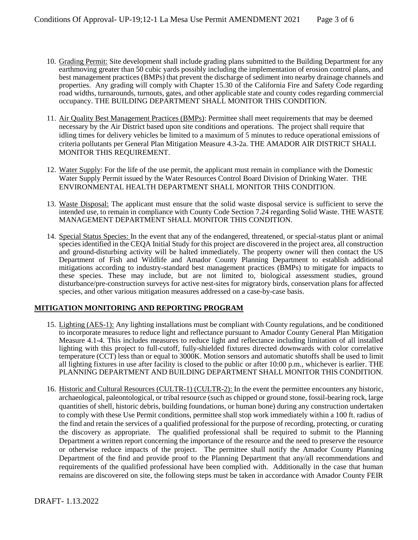- 10. Grading Permit: Site development shall include grading plans submitted to the Building Department for any earthmoving greater than 50 cubic yards possibly including the implementation of erosion control plans, and best management practices (BMPs) that prevent the discharge of sediment into nearby drainage channels and properties. Any grading will comply with Chapter 15.30 of the California Fire and Safety Code regarding road widths, turnarounds, turnouts, gates, and other applicable state and county codes regarding commercial occupancy. THE BUILDING DEPARTMENT SHALL MONITOR THIS CONDITION.
- 11. Air Quality Best Management Practices (BMPs): Permittee shall meet requirements that may be deemed necessary by the Air District based upon site conditions and operations. The project shall require that idling times for delivery vehicles be limited to a maximum of 5 minutes to reduce operational emissions of criteria pollutants per General Plan Mitigation Measure 4.3-2a. THE AMADOR AIR DISTRICT SHALL MONITOR THIS REQUIREMENT.
- 12. Water Supply: For the life of the use permit, the applicant must remain in compliance with the Domestic Water Supply Permit issued by the Water Resources Control Board Division of Drinking Water. THE ENVIRONMENTAL HEALTH DEPARTMENT SHALL MONITOR THIS CONDITION.
- 13. Waste Disposal: The applicant must ensure that the solid waste disposal service is sufficient to serve the intended use, to remain in compliance with County Code Section 7.24 regarding Solid Waste. THE WASTE MANAGEMENT DEPARTMENT SHALL MONITOR THIS CONDITION.
- 14. Special Status Species: In the event that any of the endangered, threatened, or special-status plant or animal species identified in the CEQA Initial Study for this project are discovered in the project area, all construction and ground-disturbing activity will be halted immediately. The property owner will then contact the US Department of Fish and Wildlife and Amador County Planning Department to establish additional mitigations according to industry-standard best management practices (BMPs) to mitigate for impacts to these species. These may include, but are not limited to, biological assessment studies, ground disturbance/pre-construction surveys for active nest-sites for migratory birds, conservation plans for affected species, and other various mitigation measures addressed on a case-by-case basis.

#### **MITIGATION MONITORING AND REPORTING PROGRAM**

- 15. Lighting (AES-1): Any lighting installations must be compliant with County regulations, and be conditioned to incorporate measures to reduce light and reflectance pursuant to Amador County General Plan Mitigation Measure 4.1-4. This includes measures to reduce light and reflectance including limitation of all installed lighting with this project to full-cutoff, fully-shielded fixtures directed downwards with color correlative temperature (CCT) less than or equal to 3000K. Motion sensors and automatic shutoffs shall be used to limit all lighting fixtures in use after facility is closed to the public or after 10:00 p.m., whichever is earlier. THE PLANNING DEPARTMENT AND BUILDING DEPARTMENT SHALL MONITOR THIS CONDITION.
- 16. Historic and Cultural Resources (CULTR-1) (CULTR-2): In the event the permittee encounters any historic, archaeological, paleontological, or tribal resource (such as chipped or ground stone, fossil-bearing rock, large quantities of shell, historic debris, building foundations, or human bone) during any construction undertaken to comply with these Use Permit conditions, permittee shall stop work immediately within a 100 ft. radius of the find and retain the services of a qualified professional for the purpose of recording, protecting, or curating the discovery as appropriate. The qualified professional shall be required to submit to the Planning Department a written report concerning the importance of the resource and the need to preserve the resource or otherwise reduce impacts of the project. The permittee shall notify the Amador County Planning Department of the find and provide proof to the Planning Department that any/all recommendations and requirements of the qualified professional have been complied with. Additionally in the case that human remains are discovered on site, the following steps must be taken in accordance with Amador County FEIR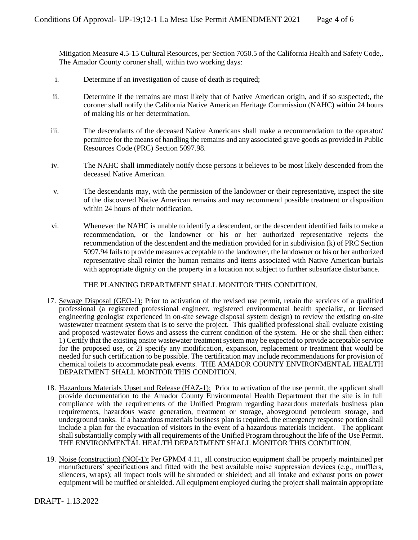Mitigation Measure 4.5-15 Cultural Resources, per Section 7050.5 of the California Health and Safety Code,. The Amador County coroner shall, within two working days:

- i. Determine if an investigation of cause of death is required;
- ii. Determine if the remains are most likely that of Native American origin, and if so suspected:, the coroner shall notify the California Native American Heritage Commission (NAHC) within 24 hours of making his or her determination.
- iii. The descendants of the deceased Native Americans shall make a recommendation to the operator/ permittee for the means of handling the remains and any associated grave goods as provided in Public Resources Code (PRC) Section 5097.98.
- iv. The NAHC shall immediately notify those persons it believes to be most likely descended from the deceased Native American.
- v. The descendants may, with the permission of the landowner or their representative, inspect the site of the discovered Native American remains and may recommend possible treatment or disposition within 24 hours of their notification.
- vi. Whenever the NAHC is unable to identify a descendent, or the descendent identified fails to make a recommendation, or the landowner or his or her authorized representative rejects the recommendation of the descendent and the mediation provided for in subdivision (k) of PRC Section 5097.94 fails to provide measures acceptable to the landowner, the landowner or his or her authorized representative shall reinter the human remains and items associated with Native American burials with appropriate dignity on the property in a location not subject to further subsurface disturbance.

#### THE PLANNING DEPARTMENT SHALL MONITOR THIS CONDITION.

- 17. Sewage Disposal (GEO-1): Prior to activation of the revised use permit, retain the services of a qualified professional (a registered professional engineer, registered environmental health specialist, or licensed engineering geologist experienced in on-site sewage disposal system design) to review the existing on-site wastewater treatment system that is to serve the project. This qualified professional shall evaluate existing and proposed wastewater flows and assess the current condition of the system. He or she shall then either: 1) Certify that the existing onsite wastewater treatment system may be expected to provide acceptable service for the proposed use, or 2) specify any modification, expansion, replacement or treatment that would be needed for such certification to be possible. The certification may include recommendations for provision of chemical toilets to accommodate peak events. THE AMADOR COUNTY ENVIRONMENTAL HEALTH DEPARTMENT SHALL MONITOR THIS CONDITION.
- 18. Hazardous Materials Upset and Release (HAZ-1): Prior to activation of the use permit, the applicant shall provide documentation to the Amador County Environmental Health Department that the site is in full compliance with the requirements of the Unified Program regarding hazardous materials business plan requirements, hazardous waste generation, treatment or storage, aboveground petroleum storage, and underground tanks. If a hazardous materials business plan is required, the emergency response portion shall include a plan for the evacuation of visitors in the event of a hazardous materials incident. The applicant shall substantially comply with all requirements of the Unified Program throughout the life of the Use Permit. THE ENVIRONMENTAL HEALTH DEPARTMENT SHALL MONITOR THIS CONDITION.
- 19. Noise (construction) (NOI-1): Per GPMM 4.11, all construction equipment shall be properly maintained per manufacturers' specifications and fitted with the best available noise suppression devices (e.g., mufflers, silencers, wraps); all impact tools will be shrouded or shielded; and all intake and exhaust ports on power equipment will be muffled or shielded. All equipment employed during the project shall maintain appropriate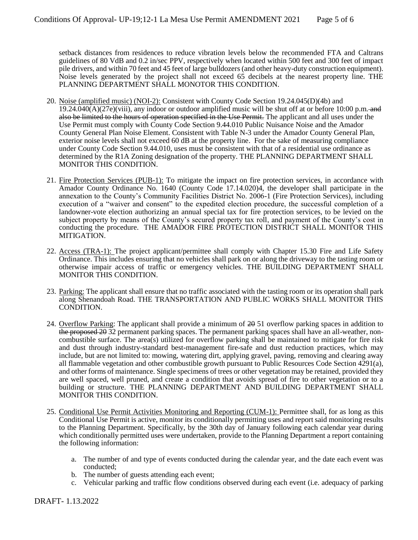setback distances from residences to reduce vibration levels below the recommended FTA and Caltrans guidelines of 80 VdB and 0.2 in/sec PPV, respectively when located within 500 feet and 300 feet of impact pile drivers, and within 70 feet and 45 feet of large bulldozers (and other heavy-duty construction equipment). Noise levels generated by the project shall not exceed 65 decibels at the nearest property line. THE PLANNING DEPARTMENT SHALL MONOTOR THIS CONDITION.

- 20. Noise (amplified music) (NOI-2): Consistent with County Code Section 19.24.045(D)(4b) and  $19.24.040(A)(27e)$ (viii), any indoor or outdoor amplified music will be shut off at or before 10:00 p.m. and also be limited to the hours of operation specified in the Use Permit. The applicant and all uses under the Use Permit must comply with County Code Section 9.44.010 Public Nuisance Noise and the Amador County General Plan Noise Element. Consistent with Table N-3 under the Amador County General Plan, exterior noise levels shall not exceed 60 dB at the property line. For the sake of measuring compliance under County Code Section 9.44.010, uses must be consistent with that of a residential use ordinance as determined by the R1A Zoning designation of the property. THE PLANNING DEPARTMENT SHALL MONITOR THIS CONDITION.
- 21. Fire Protection Services (PUB-1): To mitigate the impact on fire protection services, in accordance with Amador County Ordinance No. 1640 (County Code 17.14.020)4, the developer shall participate in the annexation to the County's Community Facilities District No. 2006-1 (Fire Protection Services), including execution of a "waiver and consent" to the expedited election procedure, the successful completion of a landowner-vote election authorizing an annual special tax for fire protection services, to be levied on the subject property by means of the County's secured property tax roll, and payment of the County's cost in conducting the procedure. THE AMADOR FIRE PROTECTION DISTRICT SHALL MONITOR THIS MITIGATION.
- 22. Access (TRA-1): The project applicant/permittee shall comply with Chapter 15.30 Fire and Life Safety Ordinance. This includes ensuring that no vehicles shall park on or along the driveway to the tasting room or otherwise impair access of traffic or emergency vehicles. THE BUILDING DEPARTMENT SHALL MONITOR THIS CONDITION.
- 23. Parking: The applicant shall ensure that no traffic associated with the tasting room or its operation shall park along Shenandoah Road. THE TRANSPORTATION AND PUBLIC WORKS SHALL MONITOR THIS CONDITION.
- 24. Overflow Parking: The applicant shall provide a minimum of 20 51 overflow parking spaces in addition to the proposed 20 32 permanent parking spaces. The permanent parking spaces shall have an all-weather, noncombustible surface. The area(s) utilized for overflow parking shall be maintained to mitigate for fire risk and dust through industry-standard best-management fire-safe and dust reduction practices, which may include, but are not limited to: mowing, watering dirt, applying gravel, paving, removing and clearing away all flammable vegetation and other combustible growth pursuant to Public Resources Code Section 4291(a), and other forms of maintenance. Single specimens of trees or other vegetation may be retained, provided they are well spaced, well pruned, and create a condition that avoids spread of fire to other vegetation or to a building or structure. THE PLANNING DEPARTMENT AND BUILDING DEPARTMENT SHALL MONITOR THIS CONDITION.
- 25. Conditional Use Permit Activities Monitoring and Reporting (CUM-1): Permittee shall, for as long as this Conditional Use Permit is active, monitor its conditionally permitting uses and report said monitoring results to the Planning Department. Specifically, by the 30th day of January following each calendar year during which conditionally permitted uses were undertaken, provide to the Planning Department a report containing the following information:
	- a. The number of and type of events conducted during the calendar year, and the date each event was conducted;
	- b. The number of guests attending each event;
	- c. Vehicular parking and traffic flow conditions observed during each event (i.e. adequacy of parking